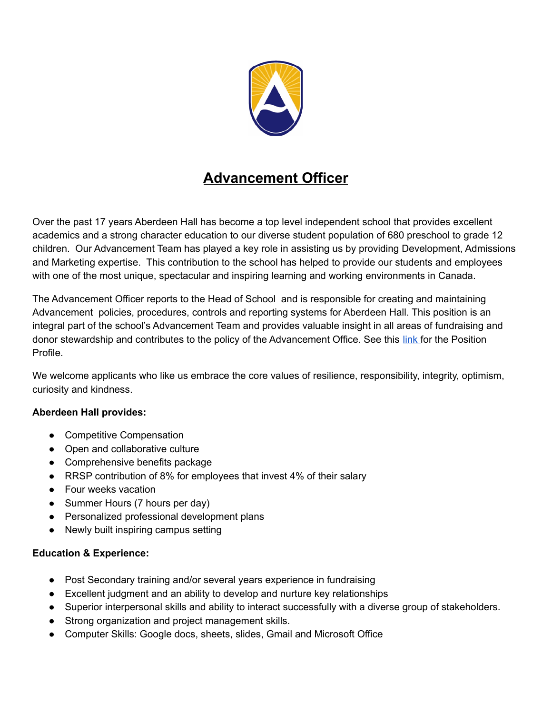

## **Advancement Officer**

Over the past 17 years Aberdeen Hall has become a top level independent school that provides excellent academics and a strong character education to our diverse student population of 680 preschool to grade 12 children. Our Advancement Team has played a key role in assisting us by providing Development, Admissions and Marketing expertise. This contribution to the school has helped to provide our students and employees with one of the most unique, spectacular and inspiring learning and working environments in Canada.

The Advancement Officer reports to the Head of School and is responsible for creating and maintaining Advancement policies, procedures, controls and reporting systems for Aberdeen Hall. This position is an integral part of the school's Advancement Team and provides valuable insight in all areas of fundraising and donor stewardship and contributes to the policy of the Advancement Office. See this [link](https://docs.google.com/document/d/18kzowTbN1d20t4Q3D-ytnzjM3rpaeM1U0jURISK0LpI/edit?usp=sharinguJFbX8mgsohF8zvykbUv0bhYsA/edit?usp=sharing) for the Position Profile.

We welcome applicants who like us embrace the core values of resilience, responsibility, integrity, optimism, curiosity and kindness.

## **Aberdeen Hall provides:**

- Competitive Compensation
- Open and collaborative culture
- Comprehensive benefits package
- RRSP contribution of 8% for employees that invest 4% of their salary
- Four weeks vacation
- Summer Hours (7 hours per day)
- Personalized professional development plans
- Newly built inspiring campus setting

## **Education & Experience:**

- Post Secondary training and/or several years experience in fundraising
- Excellent judgment and an ability to develop and nurture key relationships
- Superior interpersonal skills and ability to interact successfully with a diverse group of stakeholders.
- Strong organization and project management skills.
- Computer Skills: Google docs, sheets, slides, Gmail and Microsoft Office